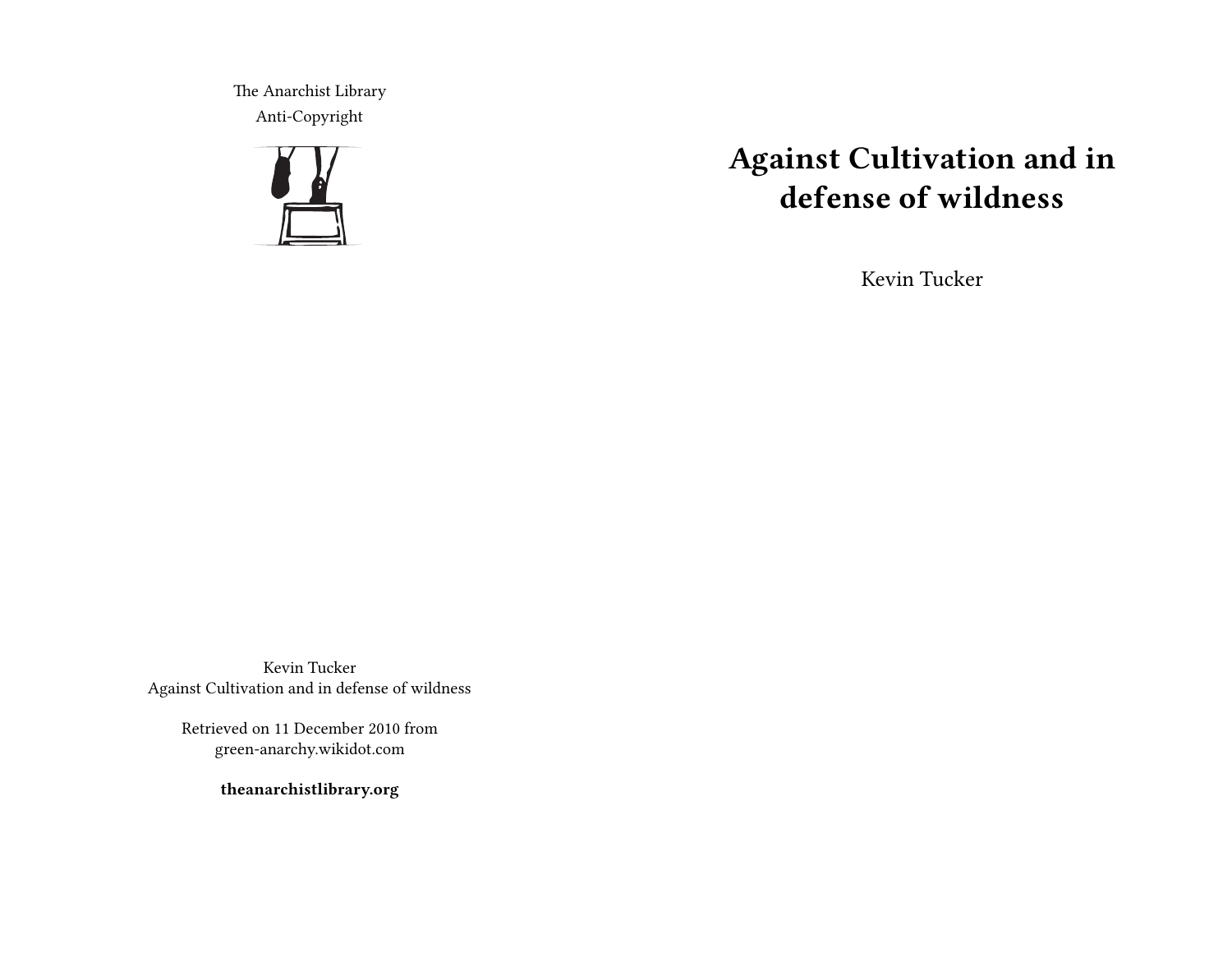The Anarchist Library Anti-Copyright



# **Against Cultivation and in defense of wildness**

Kevin Tucker

Kevin Tucker Against Cultivation and in defense of wildness

> Retrieved on 11 December 2010 from green-anarchy.wikidot.com

> > **theanarchistlibrary.org**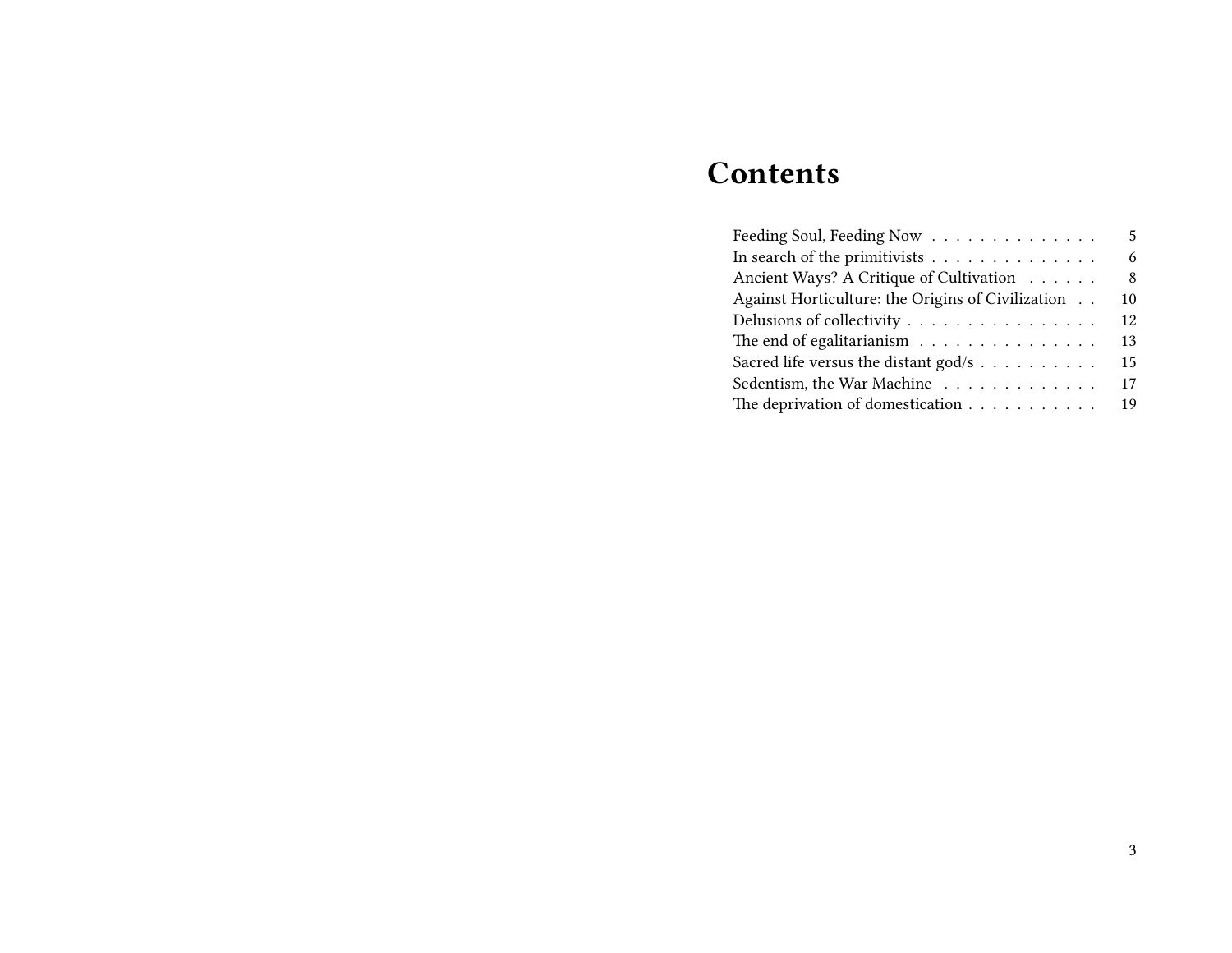# **Contents**

| Feeding Soul, Feeding Now                                     | 5  |
|---------------------------------------------------------------|----|
| In search of the primitivists $\dots \dots \dots \dots \dots$ | 6  |
| Ancient Ways? A Critique of Cultivation                       | 8  |
| Against Horticulture: the Origins of Civilization             | 10 |
| Delusions of collectivity                                     | 12 |
| The end of egalitarianism                                     | 13 |
| Sacred life versus the distant god/s                          | 15 |
| Sedentism, the War Machine                                    | 17 |
|                                                               | 19 |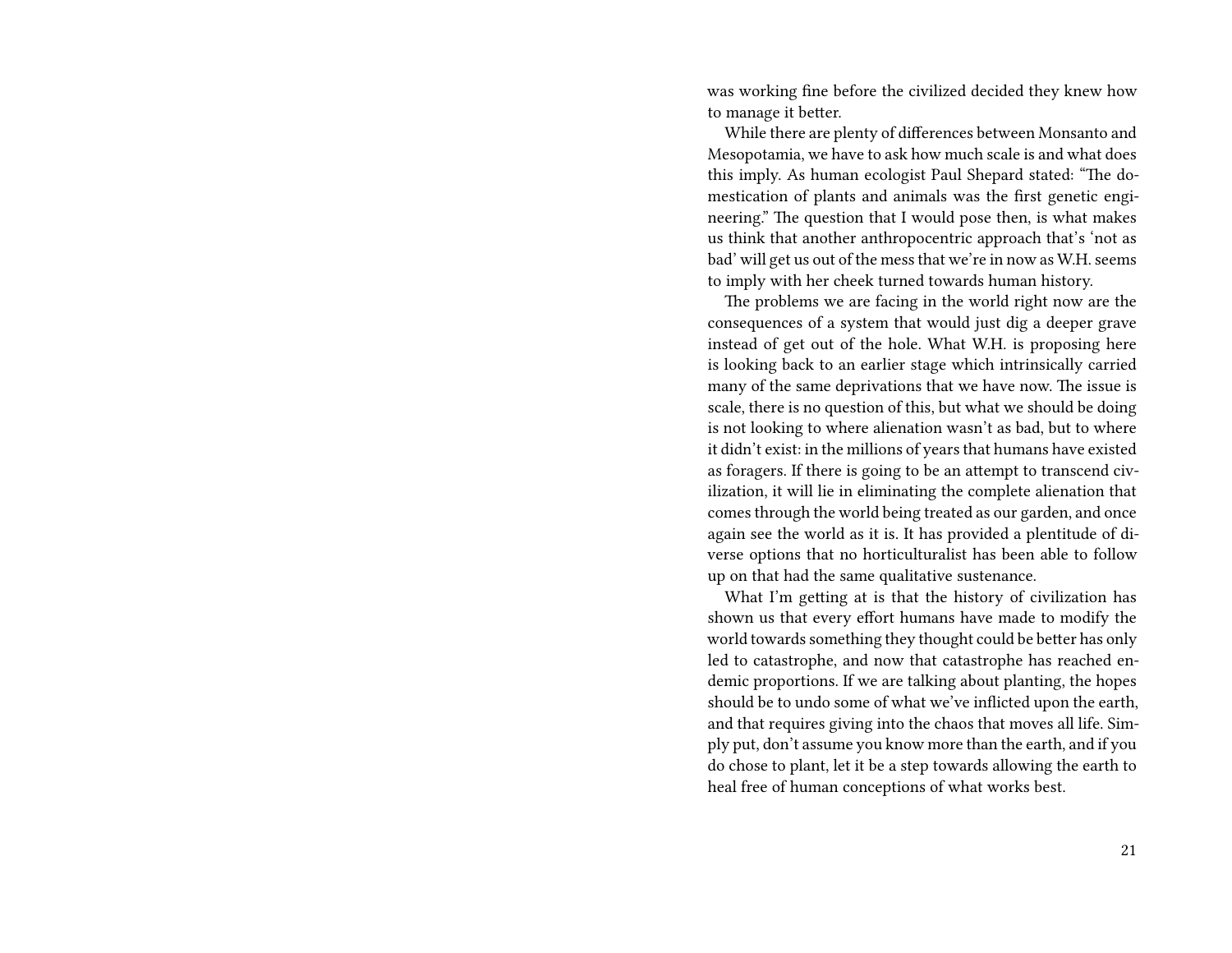was working fine before the civilized decided they knew how to manage it better.

While there are plenty of differences between Monsanto and Mesopotamia, we have to ask how much scale is and what does this imply. As human ecologist Paul Shepard stated: "The domestication of plants and animals was the first genetic engineering." The question that I would pose then, is what makes us think that another anthropocentric approach that's 'not as bad' will get us out of the mess that we're in now as W.H. seems to imply with her cheek turned towards human history.

The problems we are facing in the world right now are the consequences of a system that would just dig a deeper grave instead of get out of the hole. What W.H. is proposing here is looking back to an earlier stage which intrinsically carried many of the same deprivations that we have now. The issue is scale, there is no question of this, but what we should be doing is not looking to where alienation wasn't as bad, but to where it didn't exist: in the millions of years that humans have existed as foragers. If there is going to be an attempt to transcend civilization, it will lie in eliminating the complete alienation that comes through the world being treated as our garden, and once again see the world as it is. It has provided a plentitude of diverse options that no horticulturalist has been able to follow up on that had the same qualitative sustenance.

What I'm getting at is that the history of civilization has shown us that every effort humans have made to modify the world towards something they thought could be better has only led to catastrophe, and now that catastrophe has reached endemic proportions. If we are talking about planting, the hopes should be to undo some of what we've inflicted upon the earth, and that requires giving into the chaos that moves all life. Simply put, don't assume you know more than the earth, and if you do chose to plant, let it be a step towards allowing the earth to heal free of human conceptions of what works best.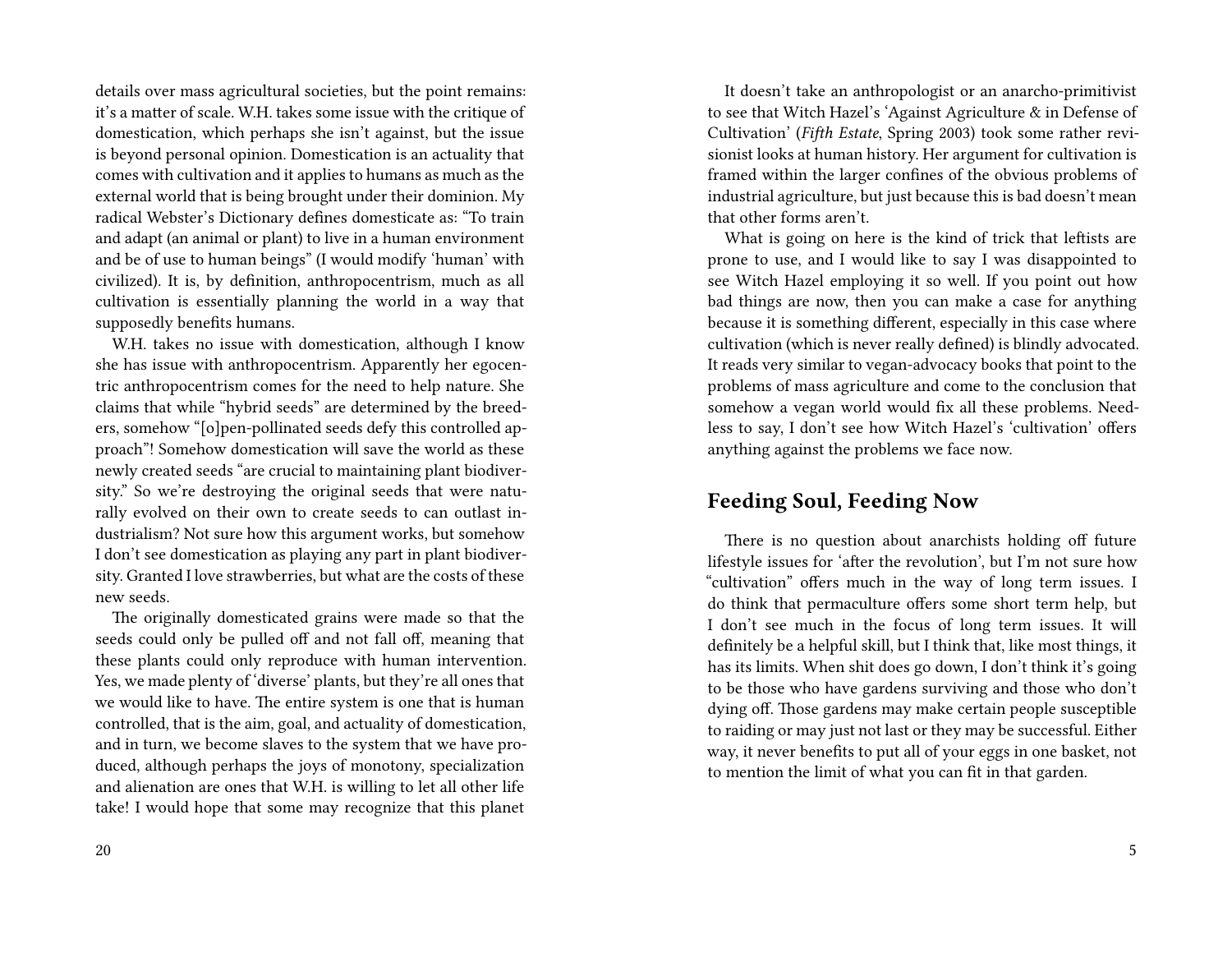details over mass agricultural societies, but the point remains: it's a matter of scale. W.H. takes some issue with the critique of domestication, which perhaps she isn't against, but the issue is beyond personal opinion. Domestication is an actuality that comes with cultivation and it applies to humans as much as the external world that is being brought under their dominion. My radical Webster's Dictionary defines domesticate as: "To train and adapt (an animal or plant) to live in a human environment and be of use to human beings" (I would modify 'human' with civilized). It is, by definition, anthropocentrism, much as all cultivation is essentially planning the world in a way that supposedly benefits humans.

W.H. takes no issue with domestication, although I know she has issue with anthropocentrism. Apparently her egocentric anthropocentrism comes for the need to help nature. She claims that while "hybrid seeds" are determined by the breeders, somehow "[o]pen-pollinated seeds defy this controlled approach"! Somehow domestication will save the world as these newly created seeds "are crucial to maintaining plant biodiversity." So we're destroying the original seeds that were naturally evolved on their own to create seeds to can outlast industrialism? Not sure how this argument works, but somehow I don't see domestication as playing any part in plant biodiversity. Granted I love strawberries, but what are the costs of these new seeds.

The originally domesticated grains were made so that the seeds could only be pulled off and not fall off, meaning that these plants could only reproduce with human intervention. Yes, we made plenty of 'diverse' plants, but they're all ones that we would like to have. The entire system is one that is human controlled, that is the aim, goal, and actuality of domestication, and in turn, we become slaves to the system that we have produced, although perhaps the joys of monotony, specialization and alienation are ones that W.H. is willing to let all other life take! I would hope that some may recognize that this planet

It doesn't take an anthropologist or an anarcho-primitivist to see that Witch Hazel's 'Against Agriculture & in Defense of Cultivation' (*Fifth Estate*, Spring 2003) took some rather revisionist looks at human history. Her argument for cultivation is framed within the larger confines of the obvious problems of industrial agriculture, but just because this is bad doesn't mean that other forms aren't.

What is going on here is the kind of trick that leftists are prone to use, and I would like to say I was disappointed to see Witch Hazel employing it so well. If you point out how bad things are now, then you can make a case for anything because it is something different, especially in this case where cultivation (which is never really defined) is blindly advocated. It reads very similar to vegan-advocacy books that point to the problems of mass agriculture and come to the conclusion that somehow a vegan world would fix all these problems. Needless to say, I don't see how Witch Hazel's 'cultivation' offers anything against the problems we face now.

# **Feeding Soul, Feeding Now**

There is no question about anarchists holding off future lifestyle issues for 'after the revolution', but I'm not sure how "cultivation" offers much in the way of long term issues. I do think that permaculture offers some short term help, but I don't see much in the focus of long term issues. It will definitely be a helpful skill, but I think that, like most things, it has its limits. When shit does go down, I don't think it's going to be those who have gardens surviving and those who don't dying off. Those gardens may make certain people susceptible to raiding or may just not last or they may be successful. Either way, it never benefits to put all of your eggs in one basket, not to mention the limit of what you can fit in that garden.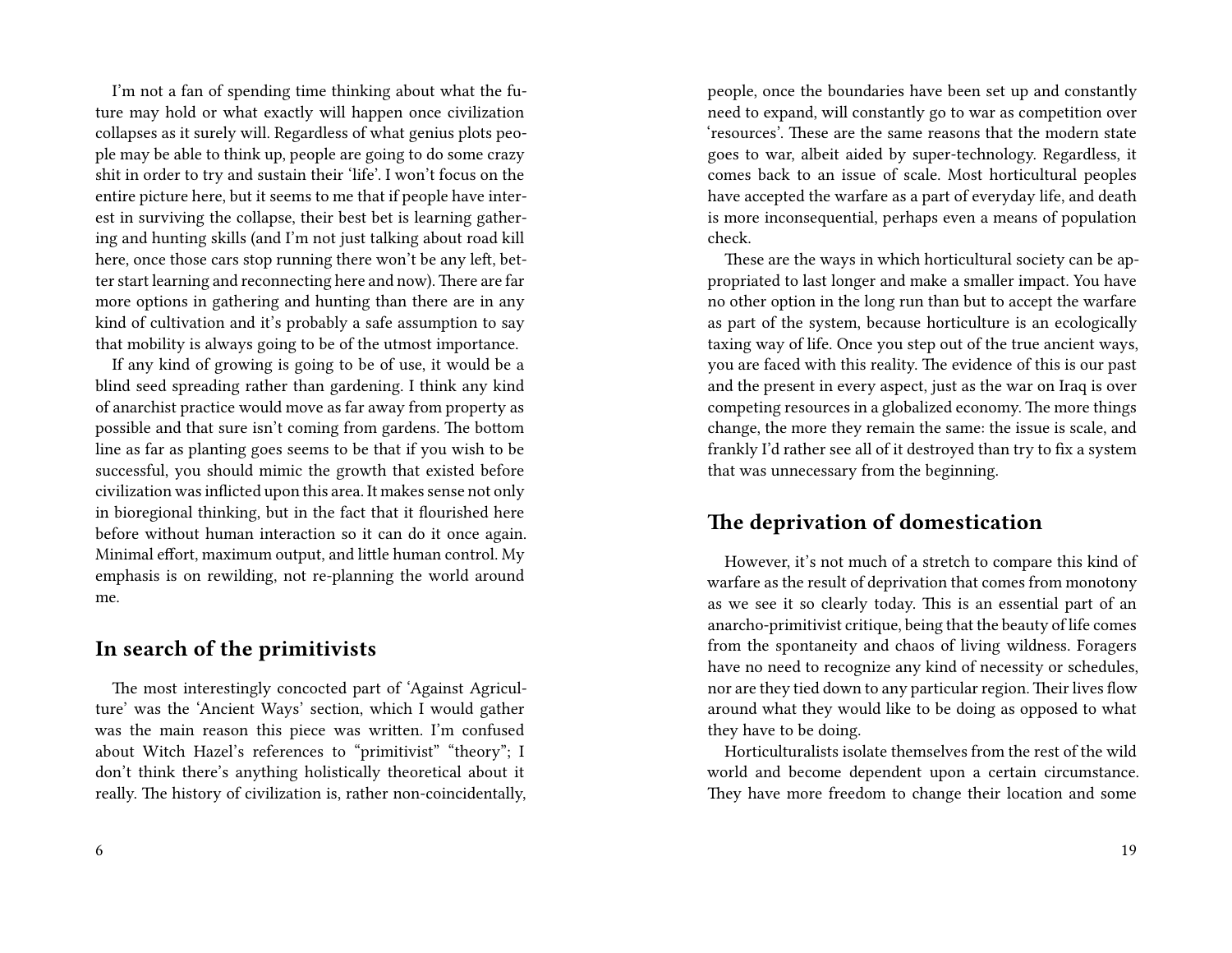I'm not a fan of spending time thinking about what the future may hold or what exactly will happen once civilization collapses as it surely will. Regardless of what genius plots people may be able to think up, people are going to do some crazy shit in order to try and sustain their 'life'. I won't focus on the entire picture here, but it seems to me that if people have interest in surviving the collapse, their best bet is learning gathering and hunting skills (and I'm not just talking about road kill here, once those cars stop running there won't be any left, better start learning and reconnecting here and now). There are far more options in gathering and hunting than there are in any kind of cultivation and it's probably a safe assumption to say that mobility is always going to be of the utmost importance.

If any kind of growing is going to be of use, it would be a blind seed spreading rather than gardening. I think any kind of anarchist practice would move as far away from property as possible and that sure isn't coming from gardens. The bottom line as far as planting goes seems to be that if you wish to be successful, you should mimic the growth that existed before civilization was inflicted upon this area. It makes sense not only in bioregional thinking, but in the fact that it flourished here before without human interaction so it can do it once again. Minimal effort, maximum output, and little human control. My emphasis is on rewilding, not re-planning the world around me.

# **In search of the primitivists**

The most interestingly concocted part of 'Against Agriculture' was the 'Ancient Ways' section, which I would gather was the main reason this piece was written. I'm confused about Witch Hazel's references to "primitivist" "theory"; I don't think there's anything holistically theoretical about it really. The history of civilization is, rather non-coincidentally, people, once the boundaries have been set up and constantly need to expand, will constantly go to war as competition over 'resources'. These are the same reasons that the modern state goes to war, albeit aided by super-technology. Regardless, it comes back to an issue of scale. Most horticultural peoples have accepted the warfare as a part of everyday life, and death is more inconsequential, perhaps even a means of population check.

These are the ways in which horticultural society can be appropriated to last longer and make a smaller impact. You have no other option in the long run than but to accept the warfare as part of the system, because horticulture is an ecologically taxing way of life. Once you step out of the true ancient ways, you are faced with this reality. The evidence of this is our past and the present in every aspect, just as the war on Iraq is over competing resources in a globalized economy. The more things change, the more they remain the same: the issue is scale, and frankly I'd rather see all of it destroyed than try to fix a system that was unnecessary from the beginning.

# **The deprivation of domestication**

However, it's not much of a stretch to compare this kind of warfare as the result of deprivation that comes from monotony as we see it so clearly today. This is an essential part of an anarcho-primitivist critique, being that the beauty of life comes from the spontaneity and chaos of living wildness. Foragers have no need to recognize any kind of necessity or schedules, nor are they tied down to any particular region. Their lives flow around what they would like to be doing as opposed to what they have to be doing.

Horticulturalists isolate themselves from the rest of the wild world and become dependent upon a certain circumstance. They have more freedom to change their location and some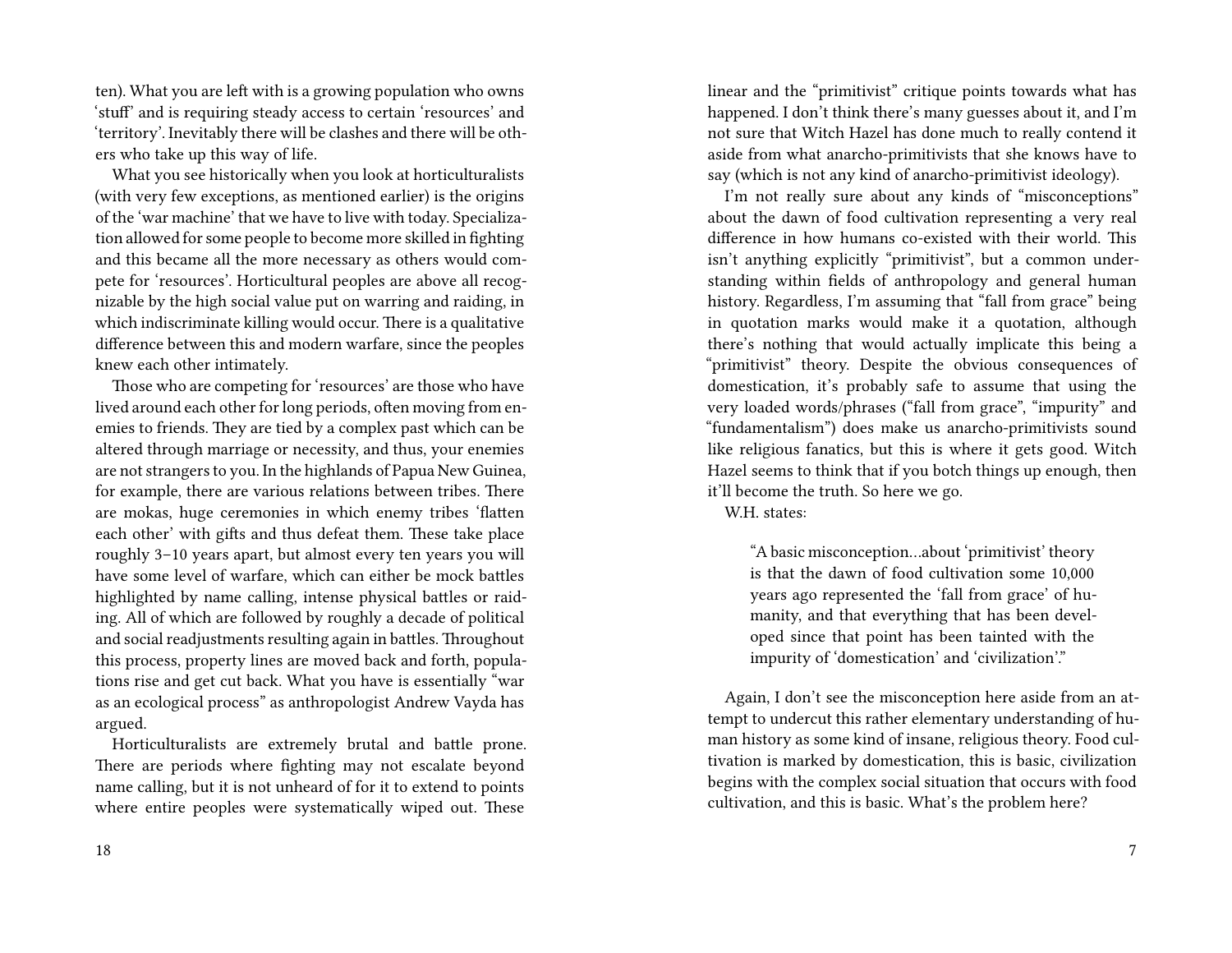ten). What you are left with is a growing population who owns 'stuff' and is requiring steady access to certain 'resources' and 'territory'. Inevitably there will be clashes and there will be others who take up this way of life.

What you see historically when you look at horticulturalists (with very few exceptions, as mentioned earlier) is the origins of the 'war machine' that we have to live with today. Specialization allowed for some people to become more skilled in fighting and this became all the more necessary as others would compete for 'resources'. Horticultural peoples are above all recognizable by the high social value put on warring and raiding, in which indiscriminate killing would occur. There is a qualitative difference between this and modern warfare, since the peoples knew each other intimately.

Those who are competing for 'resources' are those who have lived around each other for long periods, often moving from enemies to friends. They are tied by a complex past which can be altered through marriage or necessity, and thus, your enemies are not strangers to you. In the highlands of Papua New Guinea, for example, there are various relations between tribes. There are mokas, huge ceremonies in which enemy tribes 'flatten each other' with gifts and thus defeat them. These take place roughly 3–10 years apart, but almost every ten years you will have some level of warfare, which can either be mock battles highlighted by name calling, intense physical battles or raiding. All of which are followed by roughly a decade of political and social readjustments resulting again in battles. Throughout this process, property lines are moved back and forth, populations rise and get cut back. What you have is essentially "war as an ecological process" as anthropologist Andrew Vayda has argued.

Horticulturalists are extremely brutal and battle prone. There are periods where fighting may not escalate beyond name calling, but it is not unheard of for it to extend to points where entire peoples were systematically wiped out. These

linear and the "primitivist" critique points towards what has happened. I don't think there's many guesses about it, and I'm not sure that Witch Hazel has done much to really contend it aside from what anarcho-primitivists that she knows have to say (which is not any kind of anarcho-primitivist ideology).

I'm not really sure about any kinds of "misconceptions" about the dawn of food cultivation representing a very real difference in how humans co-existed with their world. This isn't anything explicitly "primitivist", but a common understanding within fields of anthropology and general human history. Regardless, I'm assuming that "fall from grace" being in quotation marks would make it a quotation, although there's nothing that would actually implicate this being a "primitivist" theory. Despite the obvious consequences of domestication, it's probably safe to assume that using the very loaded words/phrases ("fall from grace", "impurity" and "fundamentalism") does make us anarcho-primitivists sound like religious fanatics, but this is where it gets good. Witch Hazel seems to think that if you botch things up enough, then it'll become the truth. So here we go.

W.H. states:

"A basic misconception…about 'primitivist' theory is that the dawn of food cultivation some 10,000 years ago represented the 'fall from grace' of humanity, and that everything that has been developed since that point has been tainted with the impurity of 'domestication' and 'civilization'."

Again, I don't see the misconception here aside from an attempt to undercut this rather elementary understanding of human history as some kind of insane, religious theory. Food cultivation is marked by domestication, this is basic, civilization begins with the complex social situation that occurs with food cultivation, and this is basic. What's the problem here?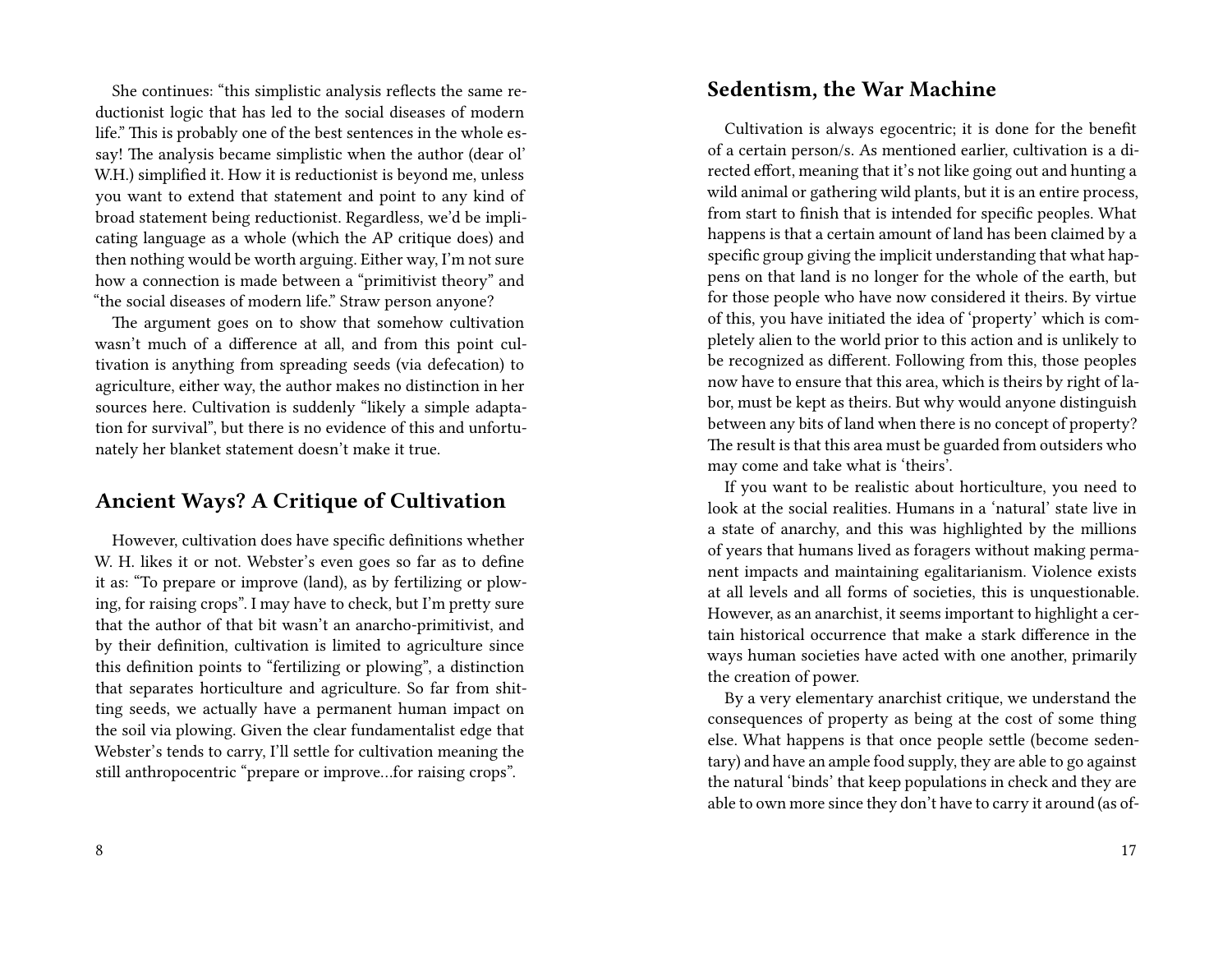She continues: "this simplistic analysis reflects the same reductionist logic that has led to the social diseases of modern life." This is probably one of the best sentences in the whole essay! The analysis became simplistic when the author (dear ol' W.H.) simplified it. How it is reductionist is beyond me, unless you want to extend that statement and point to any kind of broad statement being reductionist. Regardless, we'd be implicating language as a whole (which the AP critique does) and then nothing would be worth arguing. Either way, I'm not sure how a connection is made between a "primitivist theory" and "the social diseases of modern life." Straw person anyone?

The argument goes on to show that somehow cultivation wasn't much of a difference at all, and from this point cultivation is anything from spreading seeds (via defecation) to agriculture, either way, the author makes no distinction in her sources here. Cultivation is suddenly "likely a simple adaptation for survival", but there is no evidence of this and unfortunately her blanket statement doesn't make it true.

# **Ancient Ways? A Critique of Cultivation**

However, cultivation does have specific definitions whether W. H. likes it or not. Webster's even goes so far as to define it as: "To prepare or improve (land), as by fertilizing or plowing, for raising crops". I may have to check, but I'm pretty sure that the author of that bit wasn't an anarcho-primitivist, and by their definition, cultivation is limited to agriculture since this definition points to "fertilizing or plowing", a distinction that separates horticulture and agriculture. So far from shitting seeds, we actually have a permanent human impact on the soil via plowing. Given the clear fundamentalist edge that Webster's tends to carry, I'll settle for cultivation meaning the still anthropocentric "prepare or improve…for raising crops".

#### **Sedentism, the War Machine**

Cultivation is always egocentric; it is done for the benefit of a certain person/s. As mentioned earlier, cultivation is a directed effort, meaning that it's not like going out and hunting a wild animal or gathering wild plants, but it is an entire process, from start to finish that is intended for specific peoples. What happens is that a certain amount of land has been claimed by a specific group giving the implicit understanding that what happens on that land is no longer for the whole of the earth, but for those people who have now considered it theirs. By virtue of this, you have initiated the idea of 'property' which is completely alien to the world prior to this action and is unlikely to be recognized as different. Following from this, those peoples now have to ensure that this area, which is theirs by right of labor, must be kept as theirs. But why would anyone distinguish between any bits of land when there is no concept of property? The result is that this area must be guarded from outsiders who may come and take what is 'theirs'.

If you want to be realistic about horticulture, you need to look at the social realities. Humans in a 'natural' state live in a state of anarchy, and this was highlighted by the millions of years that humans lived as foragers without making permanent impacts and maintaining egalitarianism. Violence exists at all levels and all forms of societies, this is unquestionable. However, as an anarchist, it seems important to highlight a certain historical occurrence that make a stark difference in the ways human societies have acted with one another, primarily the creation of power.

By a very elementary anarchist critique, we understand the consequences of property as being at the cost of some thing else. What happens is that once people settle (become sedentary) and have an ample food supply, they are able to go against the natural 'binds' that keep populations in check and they are able to own more since they don't have to carry it around (as of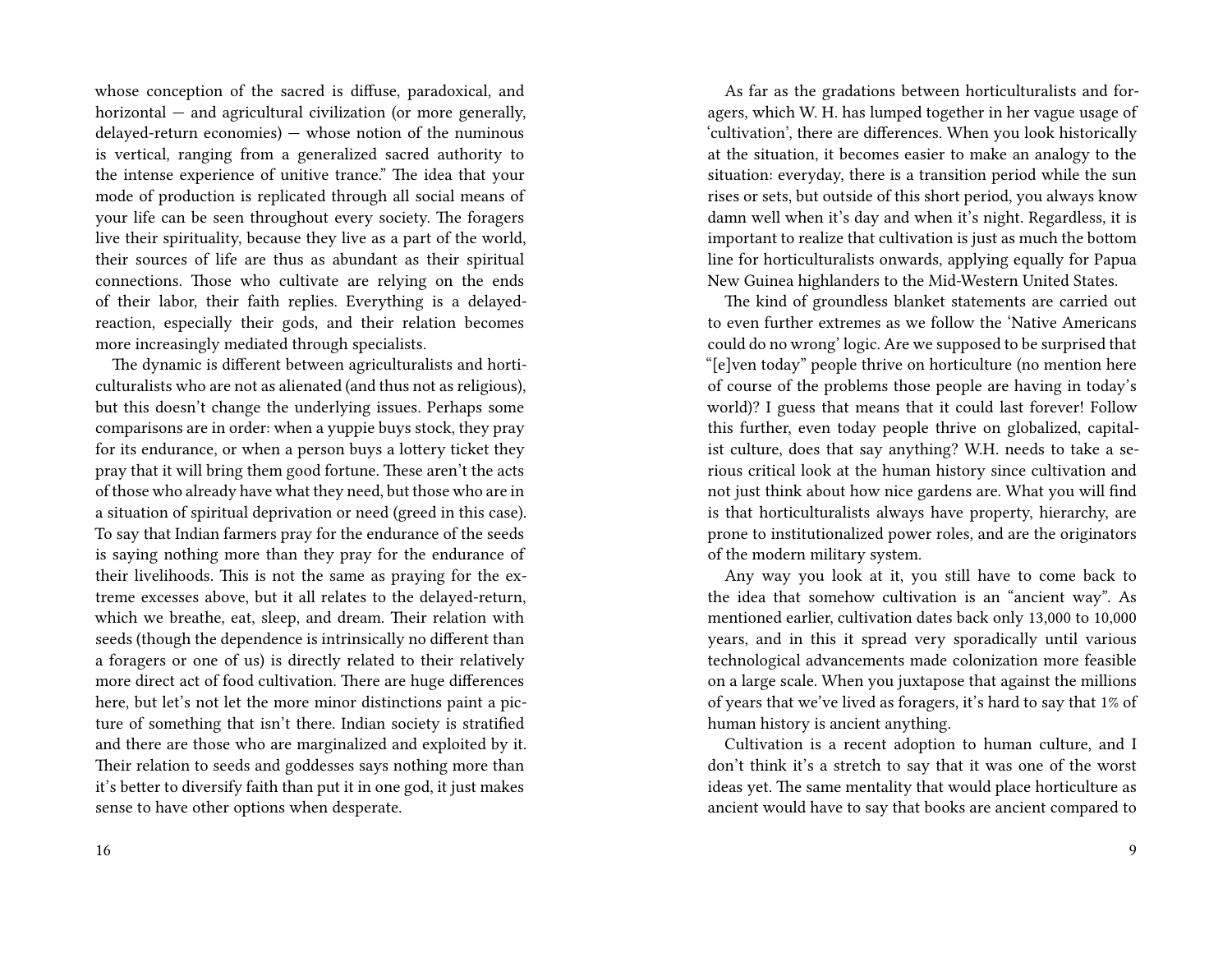whose conception of the sacred is diffuse, paradoxical, and horizontal — and agricultural civilization (or more generally, delayed-return economies) — whose notion of the numinous is vertical, ranging from a generalized sacred authority to the intense experience of unitive trance." The idea that your mode of production is replicated through all social means of your life can be seen throughout every society. The foragers live their spirituality, because they live as a part of the world, their sources of life are thus as abundant as their spiritual connections. Those who cultivate are relying on the ends of their labor, their faith replies. Everything is a delayedreaction, especially their gods, and their relation becomes more increasingly mediated through specialists.

The dynamic is different between agriculturalists and horticulturalists who are not as alienated (and thus not as religious), but this doesn't change the underlying issues. Perhaps some comparisons are in order: when a yuppie buys stock, they pray for its endurance, or when a person buys a lottery ticket they pray that it will bring them good fortune. These aren't the acts of those who already have what they need, but those who are in a situation of spiritual deprivation or need (greed in this case). To say that Indian farmers pray for the endurance of the seeds is saying nothing more than they pray for the endurance of their livelihoods. This is not the same as praying for the extreme excesses above, but it all relates to the delayed-return, which we breathe, eat, sleep, and dream. Their relation with seeds (though the dependence is intrinsically no different than a foragers or one of us) is directly related to their relatively more direct act of food cultivation. There are huge differences here, but let's not let the more minor distinctions paint a picture of something that isn't there. Indian society is stratified and there are those who are marginalized and exploited by it. Their relation to seeds and goddesses says nothing more than it's better to diversify faith than put it in one god, it just makes sense to have other options when desperate.

As far as the gradations between horticulturalists and foragers, which W. H. has lumped together in her vague usage of 'cultivation', there are differences. When you look historically at the situation, it becomes easier to make an analogy to the situation: everyday, there is a transition period while the sun rises or sets, but outside of this short period, you always know damn well when it's day and when it's night. Regardless, it is important to realize that cultivation is just as much the bottom line for horticulturalists onwards, applying equally for Papua New Guinea highlanders to the Mid-Western United States.

The kind of groundless blanket statements are carried out to even further extremes as we follow the 'Native Americans could do no wrong' logic. Are we supposed to be surprised that "[e]ven today" people thrive on horticulture (no mention here of course of the problems those people are having in today's world)? I guess that means that it could last forever! Follow this further, even today people thrive on globalized, capitalist culture, does that say anything? W.H. needs to take a serious critical look at the human history since cultivation and not just think about how nice gardens are. What you will find is that horticulturalists always have property, hierarchy, are prone to institutionalized power roles, and are the originators of the modern military system.

Any way you look at it, you still have to come back to the idea that somehow cultivation is an "ancient way". As mentioned earlier, cultivation dates back only 13,000 to 10,000 years, and in this it spread very sporadically until various technological advancements made colonization more feasible on a large scale. When you juxtapose that against the millions of years that we've lived as foragers, it's hard to say that 1% of human history is ancient anything.

Cultivation is a recent adoption to human culture, and I don't think it's a stretch to say that it was one of the worst ideas yet. The same mentality that would place horticulture as ancient would have to say that books are ancient compared to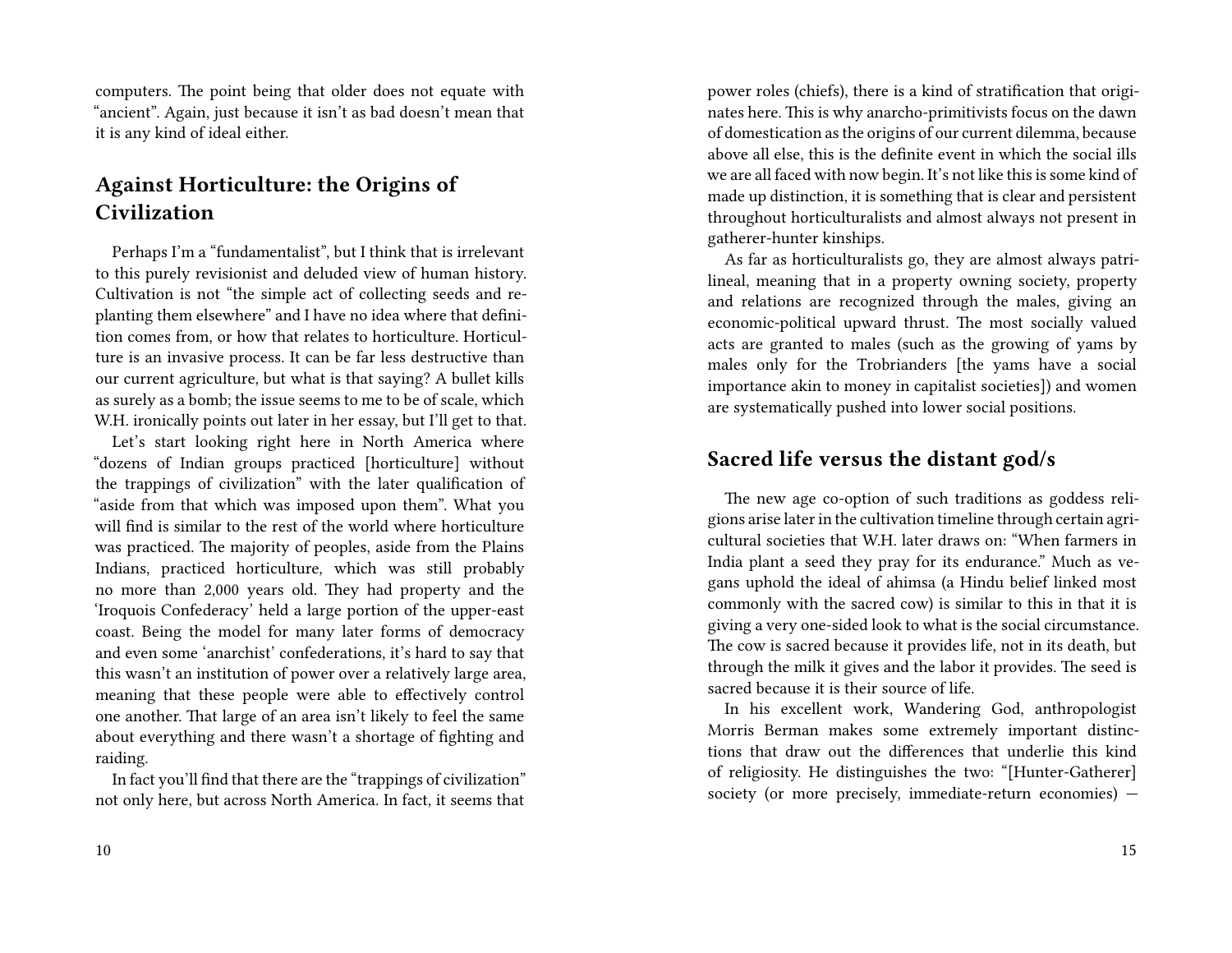computers. The point being that older does not equate with "ancient". Again, just because it isn't as bad doesn't mean that it is any kind of ideal either.

# **Against Horticulture: the Origins of Civilization**

Perhaps I'm a "fundamentalist", but I think that is irrelevant to this purely revisionist and deluded view of human history. Cultivation is not "the simple act of collecting seeds and replanting them elsewhere" and I have no idea where that definition comes from, or how that relates to horticulture. Horticulture is an invasive process. It can be far less destructive than our current agriculture, but what is that saying? A bullet kills as surely as a bomb; the issue seems to me to be of scale, which W.H. ironically points out later in her essay, but I'll get to that.

Let's start looking right here in North America where "dozens of Indian groups practiced [horticulture] without the trappings of civilization" with the later qualification of "aside from that which was imposed upon them". What you will find is similar to the rest of the world where horticulture was practiced. The majority of peoples, aside from the Plains Indians, practiced horticulture, which was still probably no more than 2,000 years old. They had property and the 'Iroquois Confederacy' held a large portion of the upper-east coast. Being the model for many later forms of democracy and even some 'anarchist' confederations, it's hard to say that this wasn't an institution of power over a relatively large area, meaning that these people were able to effectively control one another. That large of an area isn't likely to feel the same about everything and there wasn't a shortage of fighting and raiding.

In fact you'll find that there are the "trappings of civilization" not only here, but across North America. In fact, it seems that power roles (chiefs), there is a kind of stratification that originates here. This is why anarcho-primitivists focus on the dawn of domestication as the origins of our current dilemma, because above all else, this is the definite event in which the social ills we are all faced with now begin. It's not like this is some kind of made up distinction, it is something that is clear and persistent throughout horticulturalists and almost always not present in gatherer-hunter kinships.

As far as horticulturalists go, they are almost always patrilineal, meaning that in a property owning society, property and relations are recognized through the males, giving an economic-political upward thrust. The most socially valued acts are granted to males (such as the growing of yams by males only for the Trobrianders [the yams have a social importance akin to money in capitalist societies]) and women are systematically pushed into lower social positions.

#### **Sacred life versus the distant god/s**

The new age co-option of such traditions as goddess religions arise later in the cultivation timeline through certain agricultural societies that W.H. later draws on: "When farmers in India plant a seed they pray for its endurance." Much as vegans uphold the ideal of ahimsa (a Hindu belief linked most commonly with the sacred cow) is similar to this in that it is giving a very one-sided look to what is the social circumstance. The cow is sacred because it provides life, not in its death, but through the milk it gives and the labor it provides. The seed is sacred because it is their source of life.

In his excellent work, Wandering God, anthropologist Morris Berman makes some extremely important distinctions that draw out the differences that underlie this kind of religiosity. He distinguishes the two: "[Hunter-Gatherer] society (or more precisely, immediate-return economies) —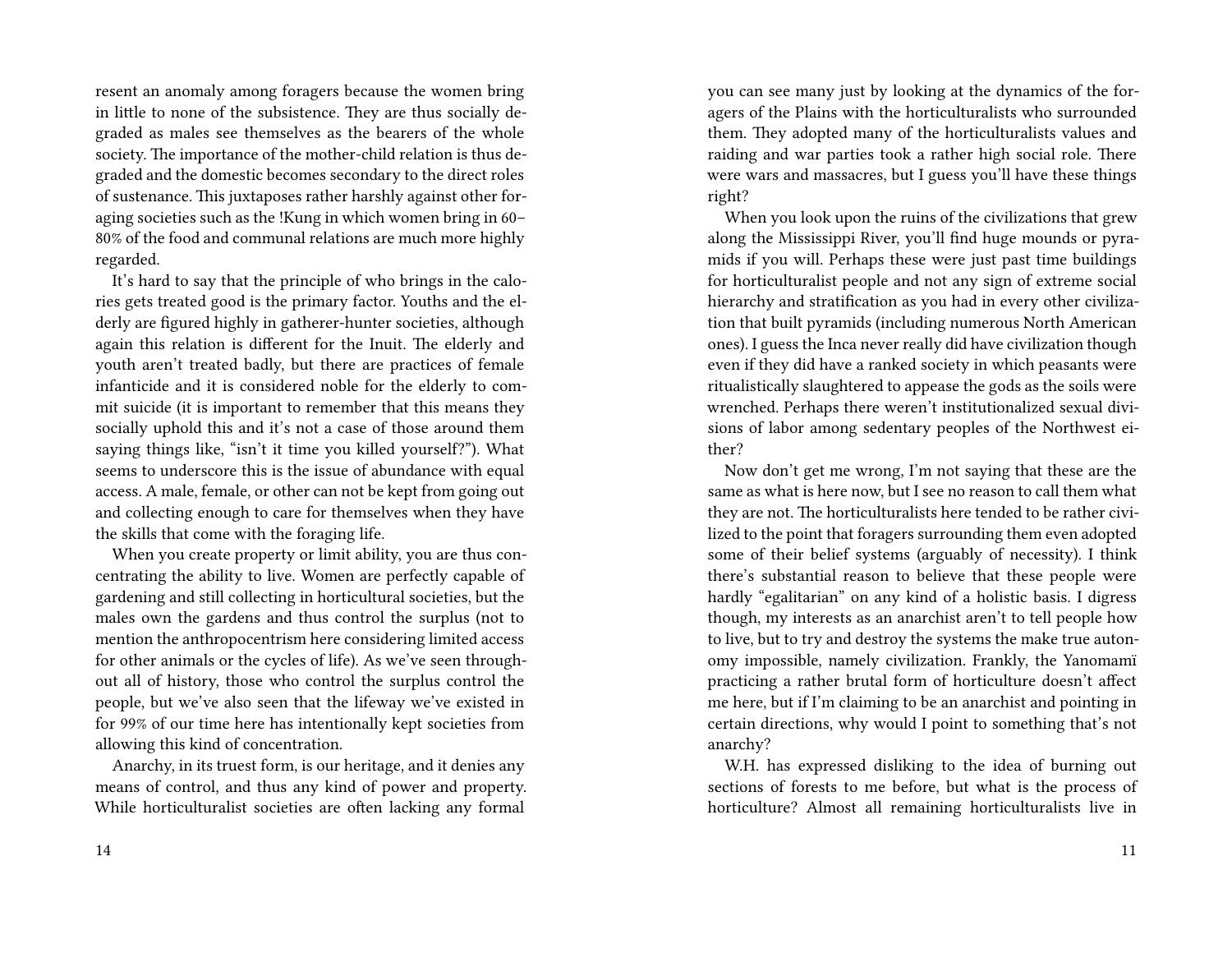resent an anomaly among foragers because the women bring in little to none of the subsistence. They are thus socially degraded as males see themselves as the bearers of the whole society. The importance of the mother-child relation is thus degraded and the domestic becomes secondary to the direct roles of sustenance. This juxtaposes rather harshly against other foraging societies such as the !Kung in which women bring in 60– 80% of the food and communal relations are much more highly regarded.

It's hard to say that the principle of who brings in the calories gets treated good is the primary factor. Youths and the elderly are figured highly in gatherer-hunter societies, although again this relation is different for the Inuit. The elderly and youth aren't treated badly, but there are practices of female infanticide and it is considered noble for the elderly to commit suicide (it is important to remember that this means they socially uphold this and it's not a case of those around them saying things like, "isn't it time you killed yourself?"). What seems to underscore this is the issue of abundance with equal access. A male, female, or other can not be kept from going out and collecting enough to care for themselves when they have the skills that come with the foraging life.

When you create property or limit ability, you are thus concentrating the ability to live. Women are perfectly capable of gardening and still collecting in horticultural societies, but the males own the gardens and thus control the surplus (not to mention the anthropocentrism here considering limited access for other animals or the cycles of life). As we've seen throughout all of history, those who control the surplus control the people, but we've also seen that the lifeway we've existed in for 99% of our time here has intentionally kept societies from allowing this kind of concentration.

Anarchy, in its truest form, is our heritage, and it denies any means of control, and thus any kind of power and property. While horticulturalist societies are often lacking any formal

you can see many just by looking at the dynamics of the foragers of the Plains with the horticulturalists who surrounded them. They adopted many of the horticulturalists values and raiding and war parties took a rather high social role. There were wars and massacres, but I guess you'll have these things right?

When you look upon the ruins of the civilizations that grew along the Mississippi River, you'll find huge mounds or pyramids if you will. Perhaps these were just past time buildings for horticulturalist people and not any sign of extreme social hierarchy and stratification as you had in every other civilization that built pyramids (including numerous North American ones). I guess the Inca never really did have civilization though even if they did have a ranked society in which peasants were ritualistically slaughtered to appease the gods as the soils were wrenched. Perhaps there weren't institutionalized sexual divisions of labor among sedentary peoples of the Northwest either?

Now don't get me wrong, I'm not saying that these are the same as what is here now, but I see no reason to call them what they are not. The horticulturalists here tended to be rather civilized to the point that foragers surrounding them even adopted some of their belief systems (arguably of necessity). I think there's substantial reason to believe that these people were hardly "egalitarian" on any kind of a holistic basis. I digress though, my interests as an anarchist aren't to tell people how to live, but to try and destroy the systems the make true autonomy impossible, namely civilization. Frankly, the Yanomamï practicing a rather brutal form of horticulture doesn't affect me here, but if I'm claiming to be an anarchist and pointing in certain directions, why would I point to something that's not anarchy?

W.H. has expressed disliking to the idea of burning out sections of forests to me before, but what is the process of horticulture? Almost all remaining horticulturalists live in